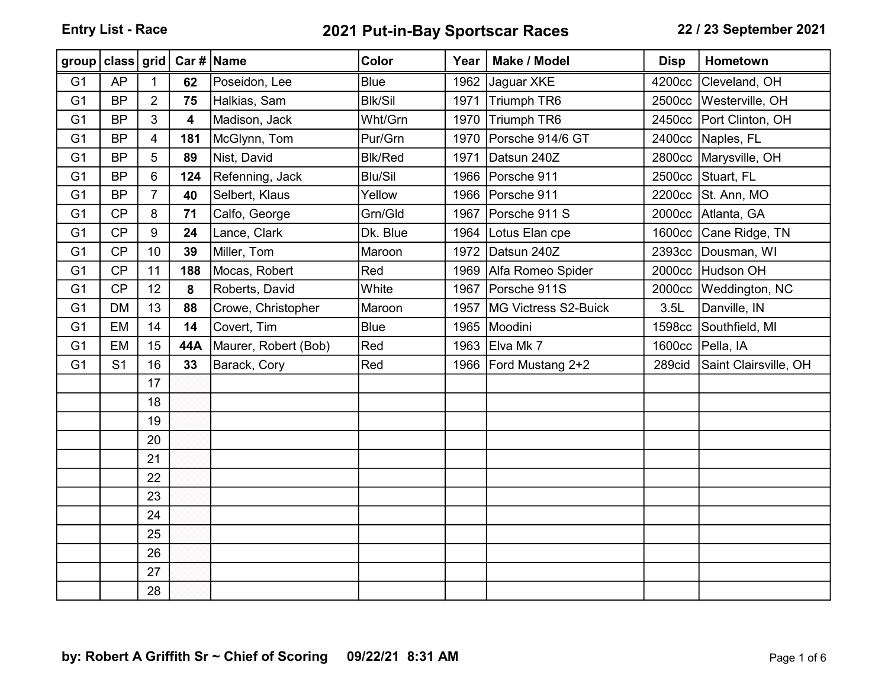## Entry List - Race 2021 Put-in-Bay Sportscar Races 22 / 23 September 2021

| group   class   grid |                |                |                         | Car #   Name         | <b>Color</b>   | Year | Make / Model         | <b>Disp</b> | Hometown              |
|----------------------|----------------|----------------|-------------------------|----------------------|----------------|------|----------------------|-------------|-----------------------|
| G <sub>1</sub>       | <b>AP</b>      | $\mathbf 1$    | 62                      | Poseidon, Lee        | <b>Blue</b>    | 1962 | Jaguar XKE           | 4200cc      | Cleveland, OH         |
| G <sub>1</sub>       | <b>BP</b>      | $\overline{2}$ | 75                      | Halkias, Sam         | <b>Blk/Sil</b> | 1971 | Triumph TR6          | 2500cc      | Westerville, OH       |
| G <sub>1</sub>       | <b>BP</b>      | 3              | $\overline{\mathbf{4}}$ | Madison, Jack        | Wht/Grn        | 1970 | Triumph TR6          | 2450cc      | Port Clinton, OH      |
| G <sub>1</sub>       | <b>BP</b>      | $\overline{4}$ | 181                     | McGlynn, Tom         | Pur/Grn        | 1970 | Porsche 914/6 GT     | 2400cc      | Naples, FL            |
| G <sub>1</sub>       | <b>BP</b>      | 5              | 89                      | Nist, David          | <b>Blk/Red</b> | 1971 | Datsun 240Z          | 2800cc      | Marysville, OH        |
| G <sub>1</sub>       | <b>BP</b>      | $\,6$          | 124                     | Refenning, Jack      | <b>Blu/Sil</b> | 1966 | Porsche 911          | 2500cc      | Stuart, FL            |
| G <sub>1</sub>       | <b>BP</b>      | $\overline{7}$ | 40                      | Selbert, Klaus       | Yellow         | 1966 | Porsche 911          | 2200cc      | St. Ann, MO           |
| G <sub>1</sub>       | CP             | 8              | 71                      | Calfo, George        | Grn/Gld        | 1967 | Porsche 911 S        | 2000cc      | Atlanta, GA           |
| G <sub>1</sub>       | CP             | 9              | 24                      | Lance, Clark         | Dk. Blue       | 1964 | Lotus Elan cpe       | 1600cc      | Cane Ridge, TN        |
| G <sub>1</sub>       | CP             | 10             | 39                      | Miller, Tom          | Maroon         | 1972 | Datsun 240Z          | 2393cc      | Dousman, WI           |
| G <sub>1</sub>       | CP             | 11             | 188                     | Mocas, Robert        | Red            | 1969 | Alfa Romeo Spider    | 2000cc      | Hudson OH             |
| G <sub>1</sub>       | CP             | 12             | 8                       | Roberts, David       | White          | 1967 | Porsche 911S         | 2000cc      | Weddington, NC        |
| G <sub>1</sub>       | <b>DM</b>      | 13             | 88                      | Crowe, Christopher   | Maroon         | 1957 | MG Victress S2-Buick | 3.5L        | Danville, IN          |
| G <sub>1</sub>       | <b>EM</b>      | 14             | 14                      | Covert, Tim          | <b>Blue</b>    | 1965 | Moodini              | 1598cc      | Southfield, MI        |
| G <sub>1</sub>       | EM             | 15             | 44A                     | Maurer, Robert (Bob) | Red            | 1963 | Elva Mk 7            | 1600cc      | Pella, IA             |
| G <sub>1</sub>       | S <sub>1</sub> | 16             | 33                      | Barack, Cory         | Red            | 1966 | Ford Mustang 2+2     | 289cid      | Saint Clairsville, OH |
|                      |                | 17             |                         |                      |                |      |                      |             |                       |
|                      |                | 18             |                         |                      |                |      |                      |             |                       |
|                      |                | 19             |                         |                      |                |      |                      |             |                       |
|                      |                | 20             |                         |                      |                |      |                      |             |                       |
|                      |                | 21             |                         |                      |                |      |                      |             |                       |
|                      |                | 22             |                         |                      |                |      |                      |             |                       |
|                      |                | 23             |                         |                      |                |      |                      |             |                       |
|                      |                | 24             |                         |                      |                |      |                      |             |                       |
|                      |                | 25             |                         |                      |                |      |                      |             |                       |
|                      |                | 26             |                         |                      |                |      |                      |             |                       |
|                      |                | 27             |                         |                      |                |      |                      |             |                       |
|                      |                | 28             |                         |                      |                |      |                      |             |                       |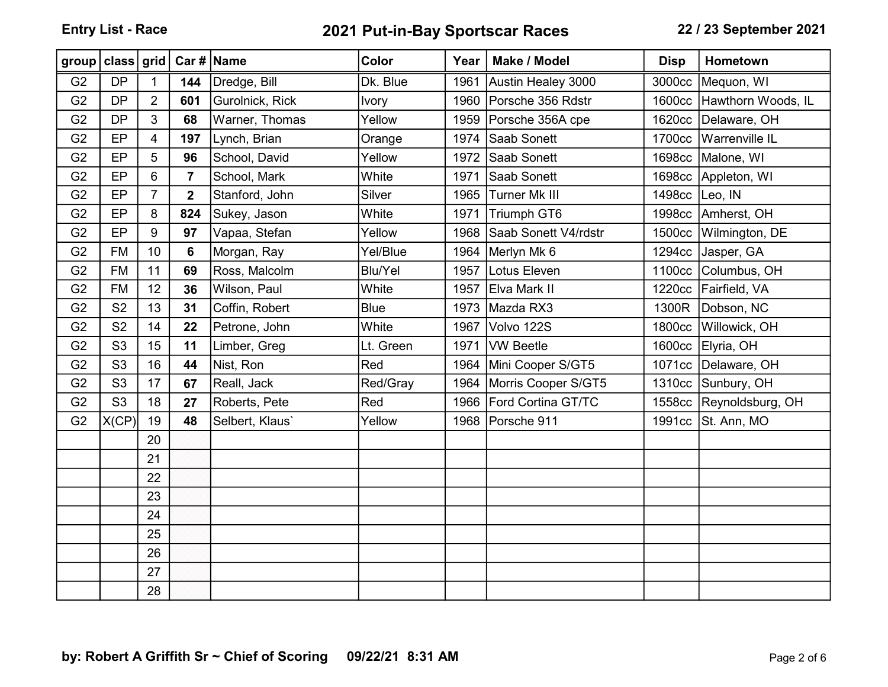Entry List - Race 2021 Put-in-Bay Sportscar Races 22 / 23 September 2021

| group   class   grid |                |                |                         | Car #   Name    | <b>Color</b>   | Year | Make / Model         | <b>Disp</b> | Hometown             |
|----------------------|----------------|----------------|-------------------------|-----------------|----------------|------|----------------------|-------------|----------------------|
| G <sub>2</sub>       | <b>DP</b>      | $\mathbf 1$    | 144                     | Dredge, Bill    | Dk. Blue       | 1961 | Austin Healey 3000   | 3000cc      | Mequon, WI           |
| G <sub>2</sub>       | <b>DP</b>      | $\overline{2}$ | 601                     | Gurolnick, Rick | <b>Ivory</b>   | 1960 | Porsche 356 Rdstr    | 1600cc      | Hawthorn Woods, IL   |
| G <sub>2</sub>       | <b>DP</b>      | 3              | 68                      | Warner, Thomas  | Yellow         | 1959 | Porsche 356A cpe     | 1620cc      | Delaware, OH         |
| G <sub>2</sub>       | EP             | 4              | 197                     | Lynch, Brian    | Orange         | 1974 | Saab Sonett          | 1700cc      | Warrenville IL       |
| G <sub>2</sub>       | EP             | 5              | 96                      | School, David   | Yellow         | 1972 | Saab Sonett          | 1698cc      | Malone, WI           |
| G <sub>2</sub>       | EP             | 6              | $\overline{7}$          | School, Mark    | White          | 1971 | Saab Sonett          |             | 1698cc Appleton, WI  |
| G <sub>2</sub>       | EP             | $\overline{7}$ | $\overline{\mathbf{2}}$ | Stanford, John  | Silver         | 1965 | <b>Turner Mk III</b> | 1498cc      | Leo, IN              |
| G <sub>2</sub>       | EP             | 8              | 824                     | Sukey, Jason    | White          | 1971 | <b>Triumph GT6</b>   |             | 1998cc Amherst, OH   |
| G <sub>2</sub>       | EP             | 9              | 97                      | Vapaa, Stefan   | Yellow         | 1968 | Saab Sonett V4/rdstr | 1500cc      | Wilmington, DE       |
| G <sub>2</sub>       | <b>FM</b>      | 10             | 6                       | Morgan, Ray     | Yel/Blue       | 1964 | Merlyn Mk 6          | 1294cc      | Jasper, GA           |
| G <sub>2</sub>       | <b>FM</b>      | 11             | 69                      | Ross, Malcolm   | <b>Blu/Yel</b> | 1957 | Lotus Eleven         | 1100cc      | Columbus, OH         |
| G <sub>2</sub>       | <b>FM</b>      | 12             | 36                      | Wilson, Paul    | White          | 1957 | Elva Mark II         |             | 1220cc Fairfield, VA |
| G <sub>2</sub>       | S <sub>2</sub> | 13             | 31                      | Coffin, Robert  | <b>Blue</b>    | 1973 | Mazda RX3            | 1300R       | Dobson, NC           |
| G <sub>2</sub>       | S <sub>2</sub> | 14             | 22                      | Petrone, John   | White          | 1967 | Volvo 122S           | 1800cc      | Willowick, OH        |
| G <sub>2</sub>       | S <sub>3</sub> | 15             | 11                      | Limber, Greg    | Lt. Green      | 1971 | <b>VW Beetle</b>     | 1600cc      | Elyria, OH           |
| G <sub>2</sub>       | S <sub>3</sub> | 16             | 44                      | Nist, Ron       | Red            | 1964 | Mini Cooper S/GT5    | 1071cc      | Delaware, OH         |
| G <sub>2</sub>       | S <sub>3</sub> | 17             | 67                      | Reall, Jack     | Red/Gray       | 1964 | Morris Cooper S/GT5  |             | 1310cc Sunbury, OH   |
| G <sub>2</sub>       | S <sub>3</sub> | 18             | 27                      | Roberts, Pete   | Red            | 1966 | Ford Cortina GT/TC   | 1558cc      | Reynoldsburg, OH     |
| G <sub>2</sub>       | X(CP)          | 19             | 48                      | Selbert, Klaus' | Yellow         | 1968 | Porsche 911          | 1991cc      | St. Ann, MO          |
|                      |                | 20             |                         |                 |                |      |                      |             |                      |
|                      |                | 21             |                         |                 |                |      |                      |             |                      |
|                      |                | 22             |                         |                 |                |      |                      |             |                      |
|                      |                | 23             |                         |                 |                |      |                      |             |                      |
|                      |                | 24             |                         |                 |                |      |                      |             |                      |
|                      |                | 25             |                         |                 |                |      |                      |             |                      |
|                      |                | 26             |                         |                 |                |      |                      |             |                      |
|                      |                | 27             |                         |                 |                |      |                      |             |                      |
|                      |                | 28             |                         |                 |                |      |                      |             |                      |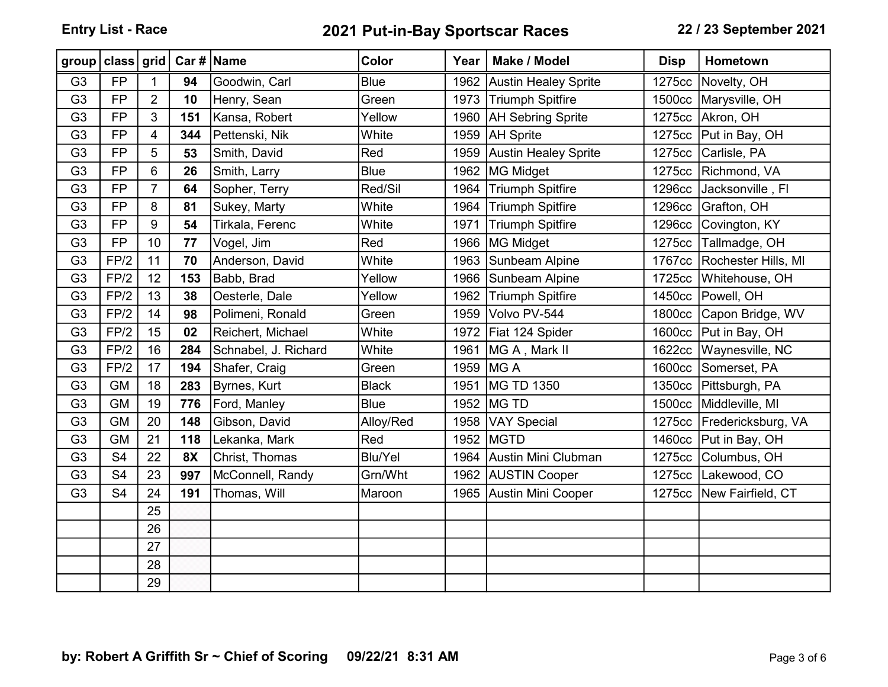Entry List - Race 2021 Put-in-Bay Sportscar Races 22 / 23 September 2021

| group          | class grid     |                |           | Car #   Name         | <b>Color</b>   | Year | Make / Model                | <b>Disp</b> | Hometown                    |
|----------------|----------------|----------------|-----------|----------------------|----------------|------|-----------------------------|-------------|-----------------------------|
| G <sub>3</sub> | <b>FP</b>      | $\mathbf 1$    | 94        | Goodwin, Carl        | <b>Blue</b>    | 1962 | <b>Austin Healey Sprite</b> | 1275cc      | Novelty, OH                 |
| G <sub>3</sub> | <b>FP</b>      | $\overline{2}$ | 10        | Henry, Sean          | Green          | 1973 | <b>Triumph Spitfire</b>     | 1500cc      | Marysville, OH              |
| G <sub>3</sub> | <b>FP</b>      | 3              | 151       | Kansa, Robert        | Yellow         | 1960 | <b>AH Sebring Sprite</b>    |             | 1275cc Akron, OH            |
| G <sub>3</sub> | <b>FP</b>      | 4              | 344       | Pettenski, Nik       | White          | 1959 | <b>AH</b> Sprite            | 1275cc      | Put in Bay, OH              |
| G <sub>3</sub> | <b>FP</b>      | 5              | 53        | Smith, David         | Red            | 1959 | <b>Austin Healey Sprite</b> | 1275cc      | Carlisle, PA                |
| G <sub>3</sub> | <b>FP</b>      | 6              | 26        | Smith, Larry         | <b>Blue</b>    | 1962 | <b>MG Midget</b>            |             | 1275cc Richmond, VA         |
| G <sub>3</sub> | <b>FP</b>      | $\overline{7}$ | 64        | Sopher, Terry        | Red/Sil        | 1964 | <b>Triumph Spitfire</b>     | 1296cc      | Jacksonville, Fl            |
| G <sub>3</sub> | <b>FP</b>      | 8              | 81        | Sukey, Marty         | White          | 1964 | <b>Triumph Spitfire</b>     | 1296cc      | Grafton, OH                 |
| G <sub>3</sub> | <b>FP</b>      | 9              | 54        | Tirkala, Ferenc      | White          | 1971 | <b>Triumph Spitfire</b>     | 1296cc      | Covington, KY               |
| G <sub>3</sub> | <b>FP</b>      | 10             | 77        | Vogel, Jim           | Red            | 1966 | <b>MG Midget</b>            | 1275cc      | Tallmadge, OH               |
| G <sub>3</sub> | FP/2           | 11             | 70        | Anderson, David      | White          | 1963 | Sunbeam Alpine              |             | 1767cc Rochester Hills, MI  |
| G <sub>3</sub> | FP/2           | 12             | 153       | Babb, Brad           | Yellow         | 1966 | Sunbeam Alpine              | 1725cc      | Whitehouse, OH              |
| G <sub>3</sub> | FP/2           | 13             | 38        | Oesterle, Dale       | Yellow         | 1962 | <b>Triumph Spitfire</b>     | 1450cc      | Powell, OH                  |
| G <sub>3</sub> | FP/2           | 14             | 98        | Polimeni, Ronald     | Green          | 1959 | Volvo PV-544                |             | 1800cc Capon Bridge, WV     |
| G <sub>3</sub> | FP/2           | 15             | 02        | Reichert, Michael    | White          | 1972 | Fiat 124 Spider             |             | 1600cc Put in Bay, OH       |
| G <sub>3</sub> | FP/2           | 16             | 284       | Schnabel, J. Richard | White          | 1961 | MG A, Mark II               |             | 1622cc Waynesville, NC      |
| G <sub>3</sub> | FP/2           | 17             | 194       | Shafer, Craig        | Green          | 1959 | MG A                        |             | 1600cc Somerset, PA         |
| G <sub>3</sub> | <b>GM</b>      | 18             | 283       | Byrnes, Kurt         | <b>Black</b>   | 1951 | MG TD 1350                  |             | 1350cc Pittsburgh, PA       |
| G <sub>3</sub> | <b>GM</b>      | 19             | 776       | Ford, Manley         | <b>Blue</b>    | 1952 | MG TD                       | 1500cc      | Middleville, MI             |
| G <sub>3</sub> | <b>GM</b>      | 20             | 148       | Gibson, David        | Alloy/Red      | 1958 | <b>VAY Special</b>          |             | 1275cc   Fredericksburg, VA |
| G <sub>3</sub> | <b>GM</b>      | 21             | 118       | Lekanka, Mark        | Red            | 1952 | MGTD                        |             | 1460cc   Put in Bay, OH     |
| G <sub>3</sub> | S <sub>4</sub> | 22             | <b>8X</b> | Christ, Thomas       | <b>Blu/Yel</b> | 1964 | Austin Mini Clubman         | 1275cc      | Columbus, OH                |
| G <sub>3</sub> | S <sub>4</sub> | 23             | 997       | McConnell, Randy     | Grn/Wht        |      | 1962 AUSTIN Cooper          |             | 1275cc Lakewood, CO         |
| G <sub>3</sub> | S <sub>4</sub> | 24             | 191       | Thomas, Will         | Maroon         | 1965 | Austin Mini Cooper          |             | 1275cc New Fairfield, CT    |
|                |                | 25             |           |                      |                |      |                             |             |                             |
|                |                | 26             |           |                      |                |      |                             |             |                             |
|                |                | 27             |           |                      |                |      |                             |             |                             |
|                |                | 28             |           |                      |                |      |                             |             |                             |
|                |                | 29             |           |                      |                |      |                             |             |                             |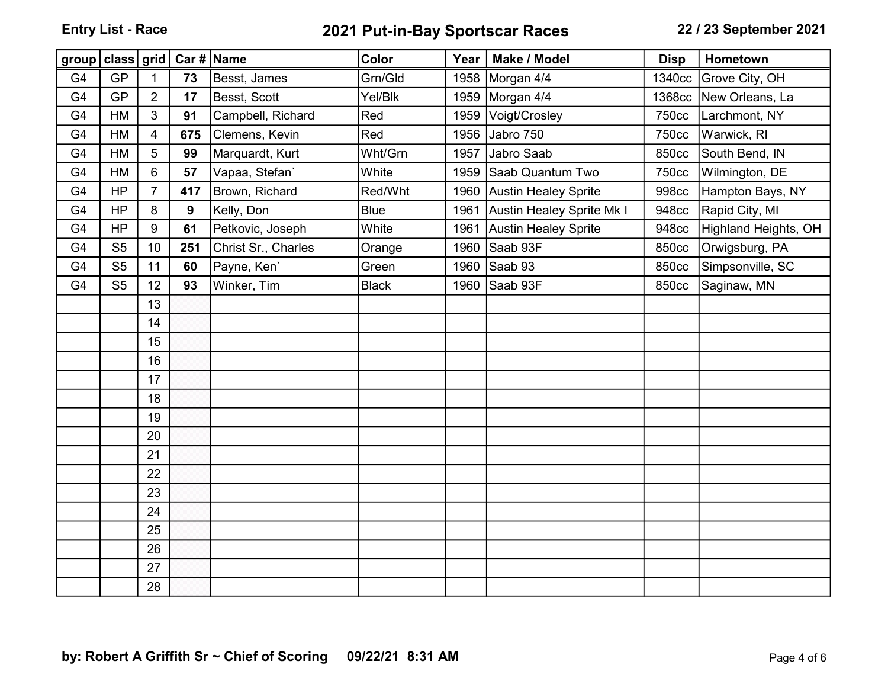## Entry List - Race 2021 Put-in-Bay Sportscar Races 22 / 23 September 2021

| group class grid |                |                | Car #   Name |                     | Color        | Year | Make / Model              | <b>Disp</b> | Hometown             |
|------------------|----------------|----------------|--------------|---------------------|--------------|------|---------------------------|-------------|----------------------|
| G4               | <b>GP</b>      | $\mathbf{1}$   | 73           | Besst, James        | Grn/Gld      | 1958 | Morgan 4/4                | 1340cc      | Grove City, OH       |
| G4               | <b>GP</b>      | $\overline{2}$ | 17           | Besst, Scott        | Yel/Blk      | 1959 | Morgan 4/4                | 1368cc      | New Orleans, La      |
| G4               | <b>HM</b>      | 3              | 91           | Campbell, Richard   | Red          | 1959 | Voigt/Crosley             | 750cc       | Larchmont, NY        |
| G4               | HM             | $\overline{4}$ | 675          | Clemens, Kevin      | Red          | 1956 | Jabro 750                 | 750cc       | Warwick, RI          |
| G4               | <b>HM</b>      | 5              | 99           | Marquardt, Kurt     | Wht/Grn      | 1957 | Jabro Saab                | 850cc       | South Bend, IN       |
| G4               | HM             | 6              | 57           | Vapaa, Stefan'      | White        | 1959 | Saab Quantum Two          | 750cc       | Wilmington, DE       |
| G4               | <b>HP</b>      | $\overline{7}$ | 417          | Brown, Richard      | Red/Wht      |      | 1960 Austin Healey Sprite | 998cc       | Hampton Bays, NY     |
| G4               | <b>HP</b>      | 8              | 9            | Kelly, Don          | <b>Blue</b>  | 1961 | Austin Healey Sprite Mk I | 948cc       | Rapid City, MI       |
| G4               | <b>HP</b>      | 9              | 61           | Petkovic, Joseph    | White        | 1961 | Austin Healey Sprite      | 948cc       | Highland Heights, OH |
| G4               | S <sub>5</sub> | 10             | 251          | Christ Sr., Charles | Orange       | 1960 | Saab 93F                  | 850cc       | Orwigsburg, PA       |
| G4               | S <sub>5</sub> | 11             | 60           | Payne, Ken'         | Green        | 1960 | Saab 93                   | 850cc       | Simpsonville, SC     |
| G4               | S <sub>5</sub> | 12             | 93           | Winker, Tim         | <b>Black</b> | 1960 | Saab 93F                  | 850cc       | Saginaw, MN          |
|                  |                | 13             |              |                     |              |      |                           |             |                      |
|                  |                | 14             |              |                     |              |      |                           |             |                      |
|                  |                | 15             |              |                     |              |      |                           |             |                      |
|                  |                | 16             |              |                     |              |      |                           |             |                      |
|                  |                | 17             |              |                     |              |      |                           |             |                      |
|                  |                | 18             |              |                     |              |      |                           |             |                      |
|                  |                | 19             |              |                     |              |      |                           |             |                      |
|                  |                | 20             |              |                     |              |      |                           |             |                      |
|                  |                | 21             |              |                     |              |      |                           |             |                      |
|                  |                | 22             |              |                     |              |      |                           |             |                      |
|                  |                | 23             |              |                     |              |      |                           |             |                      |
|                  |                | 24             |              |                     |              |      |                           |             |                      |
|                  |                | 25             |              |                     |              |      |                           |             |                      |
|                  |                | 26             |              |                     |              |      |                           |             |                      |
|                  |                | 27             |              |                     |              |      |                           |             |                      |
|                  |                | 28             |              |                     |              |      |                           |             |                      |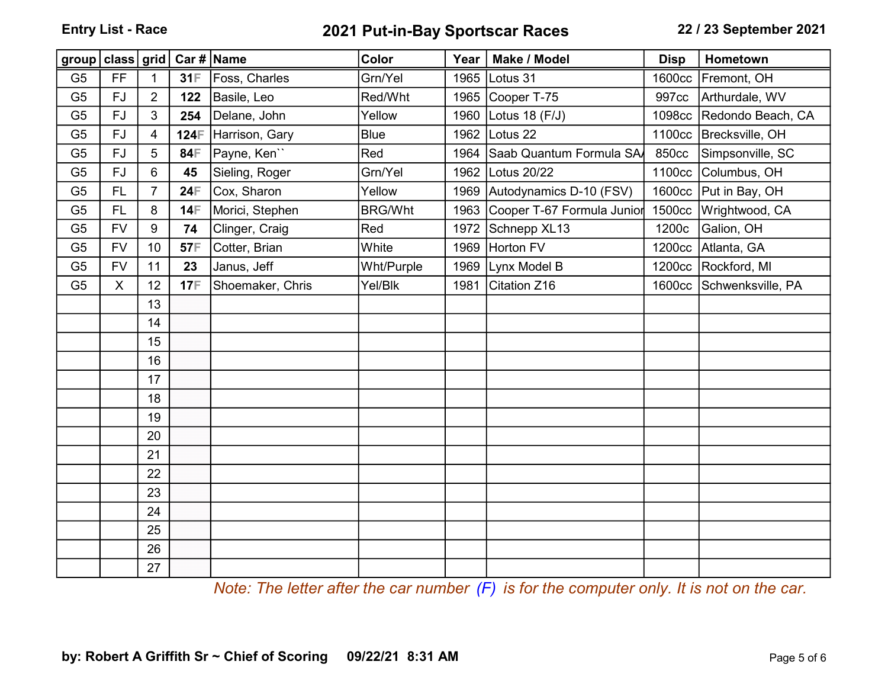## Entry List - Race 2021 Put-in-Bay Sportscar Races 22 / 23 September 2021

| group   class   grid   Car #   Name |           |                |            |                  | Color          | Year | Make / Model                 | <b>Disp</b> | Hometown                 |
|-------------------------------------|-----------|----------------|------------|------------------|----------------|------|------------------------------|-------------|--------------------------|
| G <sub>5</sub>                      | <b>FF</b> | $\mathbf{1}$   | 31F        | Foss, Charles    | Grn/Yel        | 1965 | Lotus 31                     |             | 1600cc Fremont, OH       |
| G <sub>5</sub>                      | <b>FJ</b> | $\overline{2}$ | 122        | Basile, Leo      | Red/Wht        | 1965 | Cooper T-75                  | 997cc       | Arthurdale, WV           |
| G <sub>5</sub>                      | FJ        | 3              | 254        | Delane, John     | Yellow         | 1960 | Lotus 18 (F/J)               | 1098cc      | Redondo Beach, CA        |
| G <sub>5</sub>                      | <b>FJ</b> | $\overline{4}$ | 124日       | Harrison, Gary   | <b>Blue</b>    | 1962 | Lotus 22                     |             | 1100cc Brecksville, OH   |
| G <sub>5</sub>                      | <b>FJ</b> | 5              | 84F        | Payne, Ken``     | Red            | 1964 | Saab Quantum Formula SA      | 850cc       | Simpsonville, SC         |
| G <sub>5</sub>                      | FJ        | 6              | 45         | Sieling, Roger   | Grn/Yel        | 1962 | Lotus 20/22                  |             | 1100cc Columbus, OH      |
| G <sub>5</sub>                      | <b>FL</b> | $\overline{7}$ | 24F        | Cox, Sharon      | Yellow         |      | 1969 Autodynamics D-10 (FSV) |             | 1600cc Put in Bay, OH    |
| G <sub>5</sub>                      | FL.       | 8              | 14日        | Morici, Stephen  | <b>BRG/Wht</b> | 1963 | Cooper T-67 Formula Junior   |             | 1500cc Wrightwood, CA    |
| G <sub>5</sub>                      | <b>FV</b> | 9              | 74         | Clinger, Craig   | Red            | 1972 | Schnepp XL13                 | 1200c       | Galion, OH               |
| G <sub>5</sub>                      | <b>FV</b> | 10             | 57F        | Cotter, Brian    | White          | 1969 | Horton FV                    | 1200cc      | Atlanta, GA              |
| G <sub>5</sub>                      | <b>FV</b> | 11             | 23         | Janus, Jeff      | Wht/Purple     | 1969 | Lynx Model B                 |             | 1200cc Rockford, MI      |
| G <sub>5</sub>                      | X         | 12             | <b>17F</b> | Shoemaker, Chris | Yel/Blk        | 1981 | Citation Z16                 |             | 1600cc Schwenksville, PA |
|                                     |           | 13             |            |                  |                |      |                              |             |                          |
|                                     |           | 14             |            |                  |                |      |                              |             |                          |
|                                     |           | 15             |            |                  |                |      |                              |             |                          |
|                                     |           | 16             |            |                  |                |      |                              |             |                          |
|                                     |           | 17             |            |                  |                |      |                              |             |                          |
|                                     |           | 18             |            |                  |                |      |                              |             |                          |
|                                     |           | 19             |            |                  |                |      |                              |             |                          |
|                                     |           | 20             |            |                  |                |      |                              |             |                          |
|                                     |           | 21             |            |                  |                |      |                              |             |                          |
|                                     |           | 22             |            |                  |                |      |                              |             |                          |
|                                     |           | 23             |            |                  |                |      |                              |             |                          |
|                                     |           | 24             |            |                  |                |      |                              |             |                          |
|                                     |           | 25             |            |                  |                |      |                              |             |                          |
|                                     |           | 26             |            |                  |                |      |                              |             |                          |
|                                     |           | 27             |            |                  |                |      |                              |             |                          |

Note: The letter after the car number  $(F)$  is for the computer only. It is not on the car.